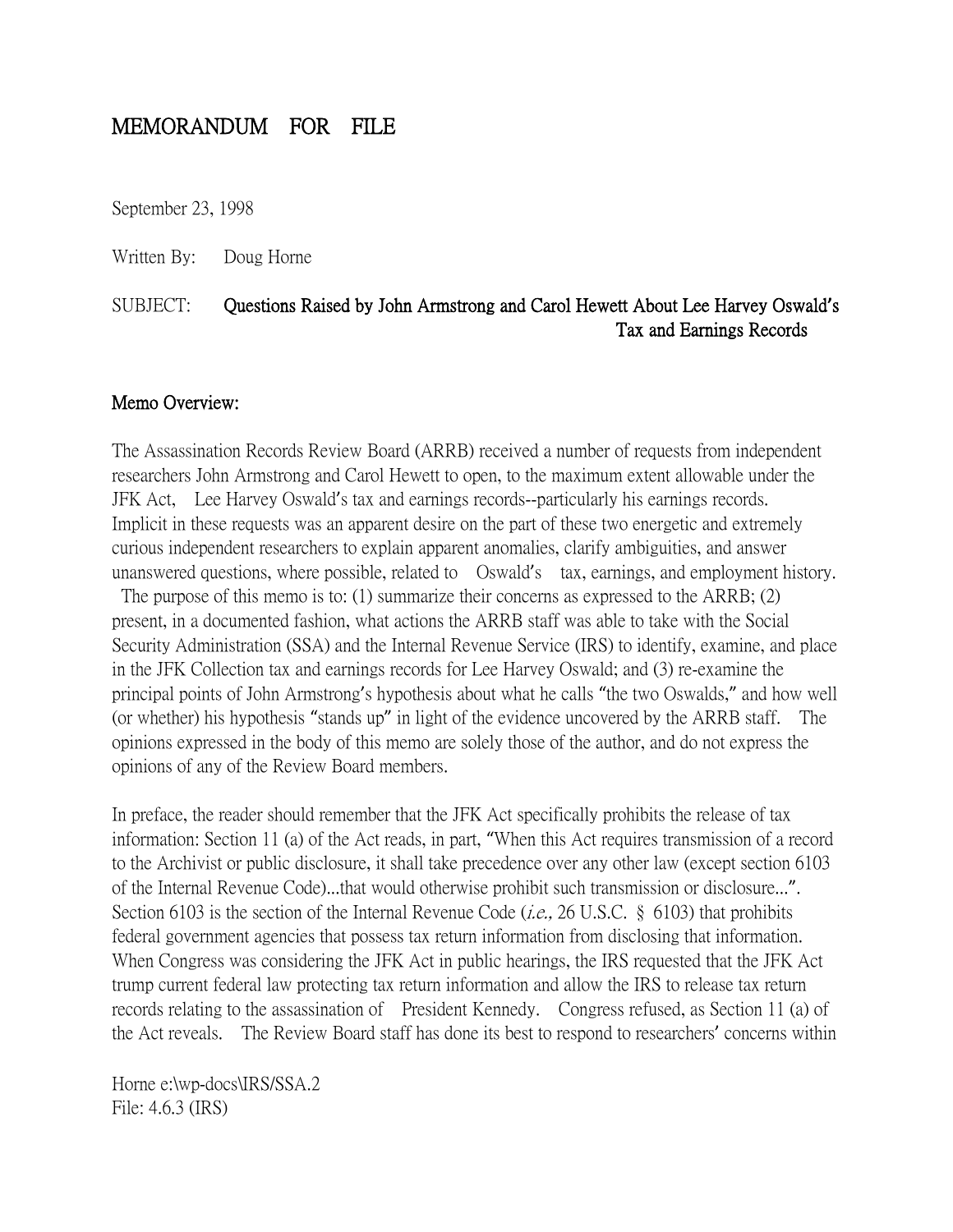# MEMORANDUM FOR FILE

September 23, 1998

Written By: Doug Horne

# SUBJECT: Questions Raised by John Armstrong and Carol Hewett About Lee Harvey Oswald**'**s Tax and Earnings Records

#### Memo Overview:

The Assassination Records Review Board (ARRB) received a number of requests from independent researchers John Armstrong and Carol Hewett to open, to the maximum extent allowable under the JFK Act, Lee Harvey Oswald's tax and earnings records--particularly his earnings records. Implicit in these requests was an apparent desire on the part of these two energetic and extremely curious independent researchers to explain apparent anomalies, clarify ambiguities, and answer unanswered questions, where possible, related to Oswald's tax, earnings, and employment history.

The purpose of this memo is to: (1) summarize their concerns as expressed to the ARRB; (2) present, in a documented fashion, what actions the ARRB staff was able to take with the Social Security Administration (SSA) and the Internal Revenue Service (IRS) to identify, examine, and place in the JFK Collection tax and earnings records for Lee Harvey Oswald; and (3) re-examine the principal points of John Armstrong's hypothesis about what he calls "the two Oswalds," and how well (or whether) his hypothesis "stands up" in light of the evidence uncovered by the ARRB staff. The opinions expressed in the body of this memo are solely those of the author, and do not express the opinions of any of the Review Board members.

In preface, the reader should remember that the JFK Act specifically prohibits the release of tax information: Section 11 (a) of the Act reads, in part, "When this Act requires transmission of a record to the Archivist or public disclosure, it shall take precedence over any other law (except section 6103 of the Internal Revenue Code)...that would otherwise prohibit such transmission or disclosure...". Section 6103 is the section of the Internal Revenue Code (*i.e.*, 26 U.S.C. § 6103) that prohibits federal government agencies that possess tax return information from disclosing that information. When Congress was considering the JFK Act in public hearings, the IRS requested that the JFK Act trump current federal law protecting tax return information and allow the IRS to release tax return records relating to the assassination of President Kennedy. Congress refused, as Section 11 (a) of the Act reveals. The Review Board staff has done its best to respond to researchers' concerns within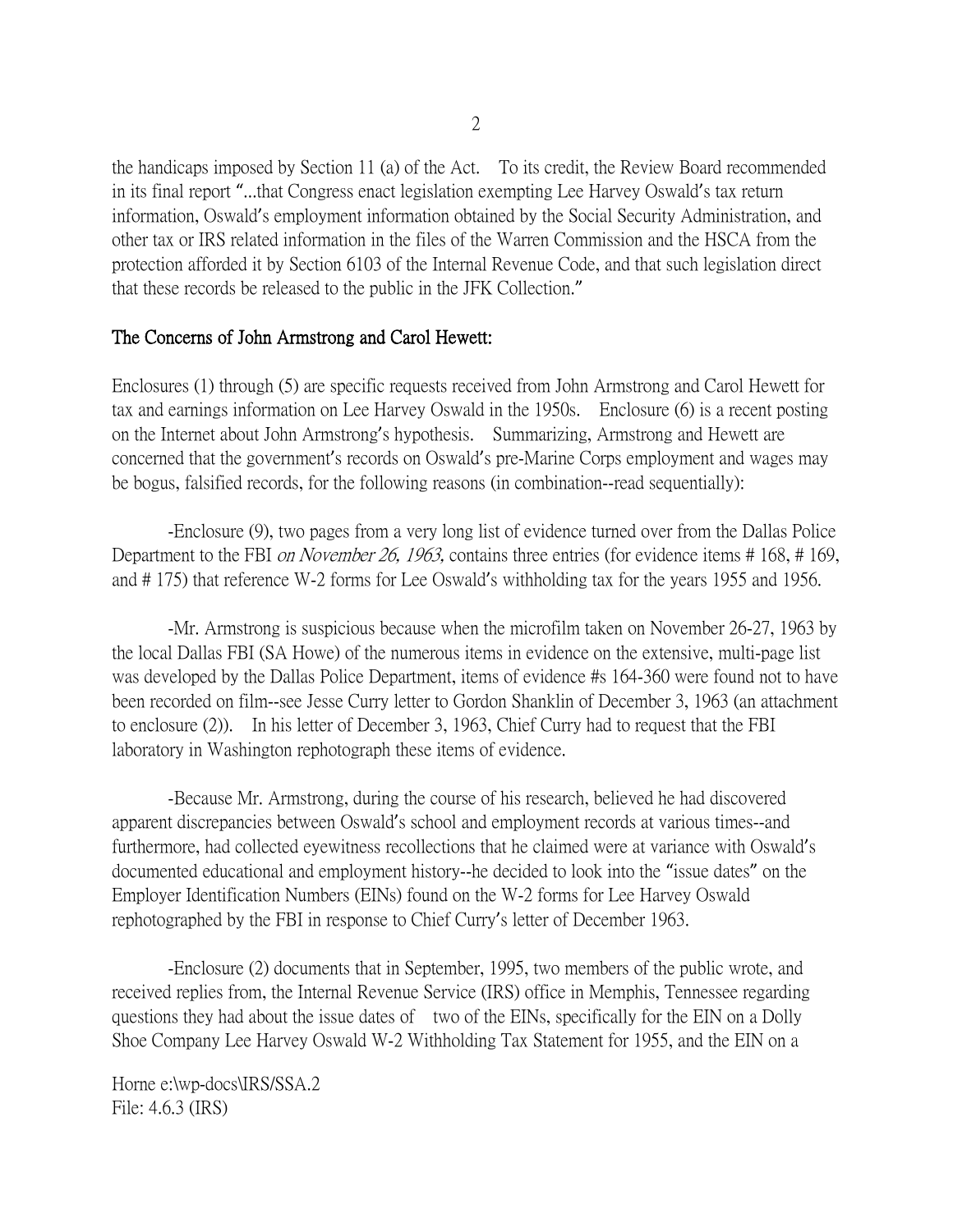the handicaps imposed by Section 11 (a) of the Act. To its credit, the Review Board recommended in its final report "...that Congress enact legislation exempting Lee Harvey Oswald's tax return information, Oswald's employment information obtained by the Social Security Administration, and other tax or IRS related information in the files of the Warren Commission and the HSCA from the protection afforded it by Section 6103 of the Internal Revenue Code, and that such legislation direct that these records be released to the public in the JFK Collection."

### The Concerns of John Armstrong and Carol Hewett:

Enclosures (1) through (5) are specific requests received from John Armstrong and Carol Hewett for tax and earnings information on Lee Harvey Oswald in the 1950s. Enclosure (6) is a recent posting on the Internet about John Armstrong's hypothesis. Summarizing, Armstrong and Hewett are concerned that the government's records on Oswald's pre-Marine Corps employment and wages may be bogus, falsified records, for the following reasons (in combination--read sequentially):

-Enclosure (9), two pages from a very long list of evidence turned over from the Dallas Police Department to the FBI *on November 26, 1963*, contains three entries (for evidence items # 168, # 169, and # 175) that reference W-2 forms for Lee Oswald's withholding tax for the years 1955 and 1956.

-Mr. Armstrong is suspicious because when the microfilm taken on November 26-27, 1963 by the local Dallas FBI (SA Howe) of the numerous items in evidence on the extensive, multi-page list was developed by the Dallas Police Department, items of evidence #s 164-360 were found not to have been recorded on film--see Jesse Curry letter to Gordon Shanklin of December 3, 1963 (an attachment to enclosure (2)). In his letter of December 3, 1963, Chief Curry had to request that the FBI laboratory in Washington rephotograph these items of evidence.

-Because Mr. Armstrong, during the course of his research, believed he had discovered apparent discrepancies between Oswald's school and employment records at various times--and furthermore, had collected eyewitness recollections that he claimed were at variance with Oswald's documented educational and employment history--he decided to look into the "issue dates" on the Employer Identification Numbers (EINs) found on the W-2 forms for Lee Harvey Oswald rephotographed by the FBI in response to Chief Curry's letter of December 1963.

-Enclosure (2) documents that in September, 1995, two members of the public wrote, and received replies from, the Internal Revenue Service (IRS) office in Memphis, Tennessee regarding questions they had about the issue dates of two of the EINs, specifically for the EIN on a Dolly Shoe Company Lee Harvey Oswald W-2 Withholding Tax Statement for 1955, and the EIN on a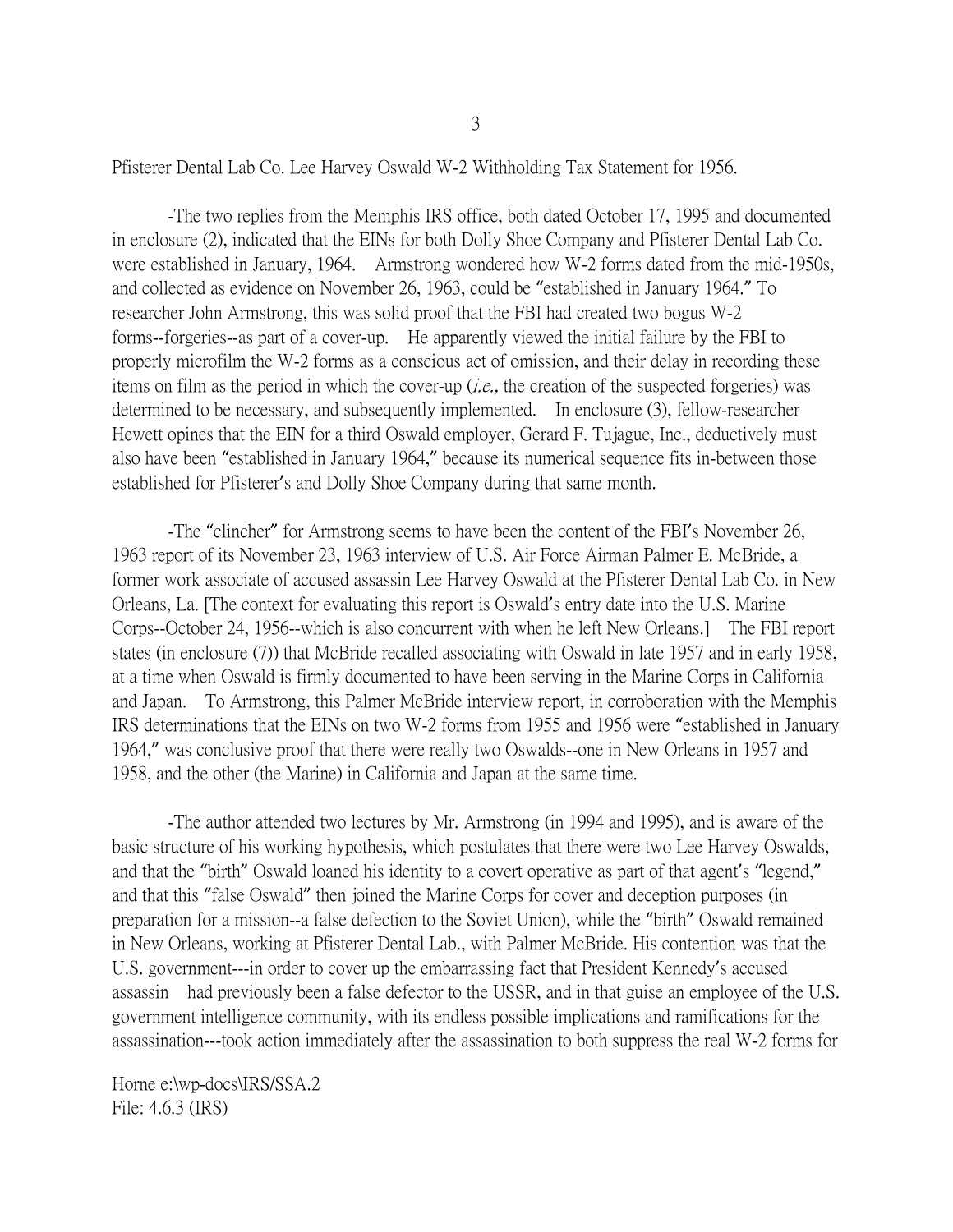Pfisterer Dental Lab Co. Lee Harvey Oswald W-2 Withholding Tax Statement for 1956.

-The two replies from the Memphis IRS office, both dated October 17, 1995 and documented in enclosure (2), indicated that the EINs for both Dolly Shoe Company and Pfisterer Dental Lab Co. were established in January, 1964. Armstrong wondered how W-2 forms dated from the mid-1950s, and collected as evidence on November 26, 1963, could be "established in January 1964." To researcher John Armstrong, this was solid proof that the FBI had created two bogus W-2 forms--forgeries--as part of a cover-up. He apparently viewed the initial failure by the FBI to properly microfilm the W-2 forms as a conscious act of omission, and their delay in recording these items on film as the period in which the cover-up (*i.e.*, the creation of the suspected forgeries) was determined to be necessary, and subsequently implemented. In enclosure (3), fellow-researcher Hewett opines that the EIN for a third Oswald employer, Gerard F. Tujague, Inc., deductively must also have been "established in January 1964," because its numerical sequence fits in-between those established for Pfisterer's and Dolly Shoe Company during that same month.

-The "clincher" for Armstrong seems to have been the content of the FBI's November 26, 1963 report of its November 23, 1963 interview of U.S. Air Force Airman Palmer E. McBride, a former work associate of accused assassin Lee Harvey Oswald at the Pfisterer Dental Lab Co. in New Orleans, La. [The context for evaluating this report is Oswald's entry date into the U.S. Marine Corps--October 24, 1956--which is also concurrent with when he left New Orleans.] The FBI report states (in enclosure (7)) that McBride recalled associating with Oswald in late 1957 and in early 1958, at a time when Oswald is firmly documented to have been serving in the Marine Corps in California and Japan. To Armstrong, this Palmer McBride interview report, in corroboration with the Memphis IRS determinations that the EINs on two W-2 forms from 1955 and 1956 were "established in January 1964," was conclusive proof that there were really two Oswalds--one in New Orleans in 1957 and 1958, and the other (the Marine) in California and Japan at the same time.

-The author attended two lectures by Mr. Armstrong (in 1994 and 1995), and is aware of the basic structure of his working hypothesis, which postulates that there were two Lee Harvey Oswalds, and that the "birth" Oswald loaned his identity to a covert operative as part of that agent's "legend," and that this "false Oswald" then joined the Marine Corps for cover and deception purposes (in preparation for a mission--a false defection to the Soviet Union), while the "birth" Oswald remained in New Orleans, working at Pfisterer Dental Lab., with Palmer McBride. His contention was that the U.S. government---in order to cover up the embarrassing fact that President Kennedy's accused assassin had previously been a false defector to the USSR, and in that guise an employee of the U.S. government intelligence community, with its endless possible implications and ramifications for the assassination---took action immediately after the assassination to both suppress the real W-2 forms for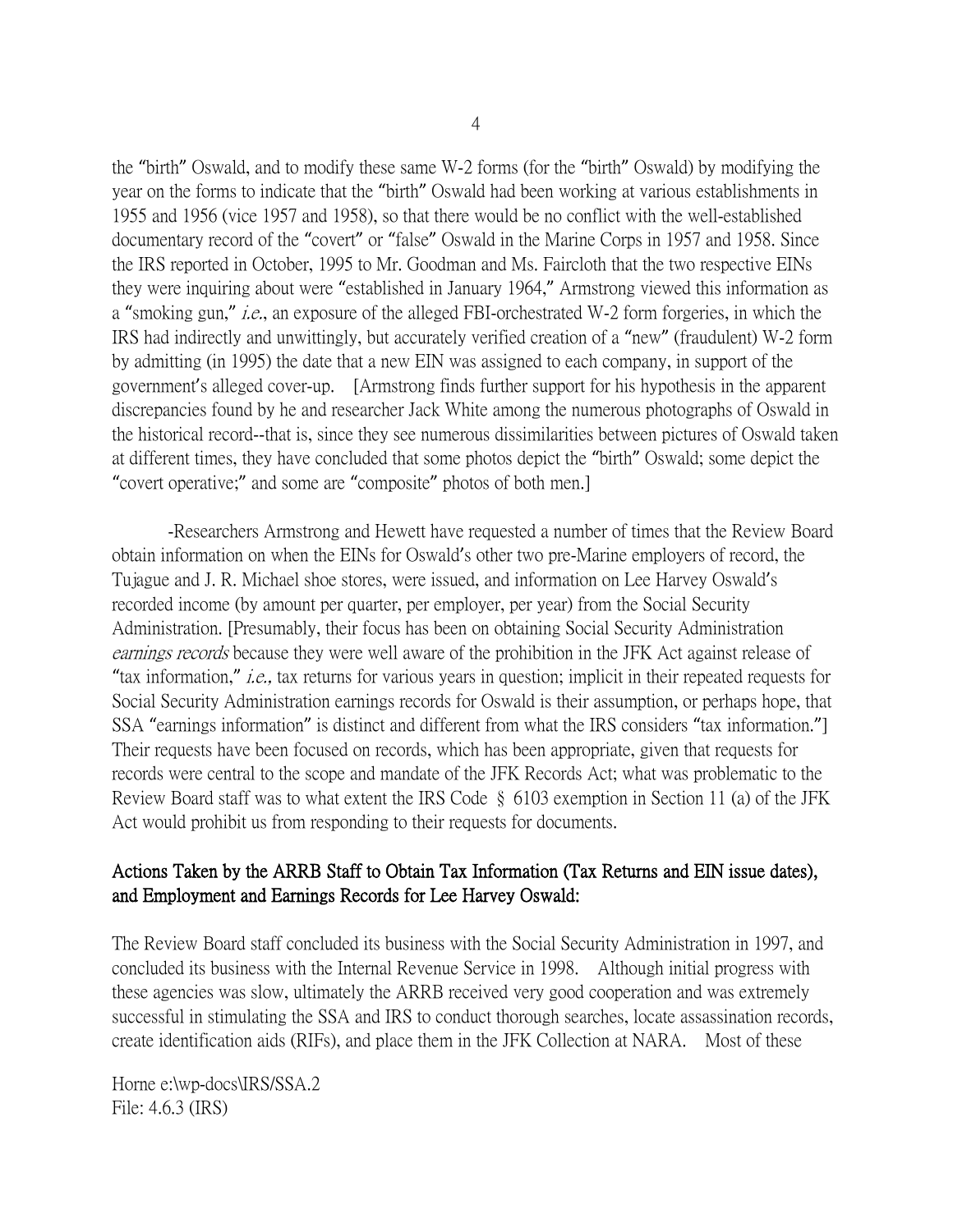the "birth" Oswald, and to modify these same W-2 forms (for the "birth" Oswald) by modifying the year on the forms to indicate that the "birth" Oswald had been working at various establishments in 1955 and 1956 (vice 1957 and 1958), so that there would be no conflict with the well-established documentary record of the "covert" or "false" Oswald in the Marine Corps in 1957 and 1958. Since the IRS reported in October, 1995 to Mr. Goodman and Ms. Faircloth that the two respective EINs they were inquiring about were "established in January 1964," Armstrong viewed this information as a "smoking gun," *i.e.*, an exposure of the alleged FBI-orchestrated W-2 form forgeries, in which the IRS had indirectly and unwittingly, but accurately verified creation of a "new" (fraudulent) W-2 form by admitting (in 1995) the date that a new EIN was assigned to each company, in support of the government's alleged cover-up. [Armstrong finds further support for his hypothesis in the apparent discrepancies found by he and researcher Jack White among the numerous photographs of Oswald in the historical record--that is, since they see numerous dissimilarities between pictures of Oswald taken at different times, they have concluded that some photos depict the "birth" Oswald; some depict the "covert operative;" and some are "composite" photos of both men.]

-Researchers Armstrong and Hewett have requested a number of times that the Review Board obtain information on when the EINs for Oswald's other two pre-Marine employers of record, the Tujague and J. R. Michael shoe stores, were issued, and information on Lee Harvey Oswald's recorded income (by amount per quarter, per employer, per year) from the Social Security Administration. [Presumably, their focus has been on obtaining Social Security Administration earnings records because they were well aware of the prohibition in the JFK Act against release of "tax information," i.e., tax returns for various years in question; implicit in their repeated requests for Social Security Administration earnings records for Oswald is their assumption, or perhaps hope, that SSA "earnings information" is distinct and different from what the IRS considers "tax information."] Their requests have been focused on records, which has been appropriate, given that requests for records were central to the scope and mandate of the JFK Records Act; what was problematic to the Review Board staff was to what extent the IRS Code § 6103 exemption in Section 11 (a) of the JFK Act would prohibit us from responding to their requests for documents.

### Actions Taken by the ARRB Staff to Obtain Tax Information (Tax Returns and EIN issue dates), and Employment and Earnings Records for Lee Harvey Oswald:

The Review Board staff concluded its business with the Social Security Administration in 1997, and concluded its business with the Internal Revenue Service in 1998. Although initial progress with these agencies was slow, ultimately the ARRB received very good cooperation and was extremely successful in stimulating the SSA and IRS to conduct thorough searches, locate assassination records, create identification aids (RIFs), and place them in the JFK Collection at NARA. Most of these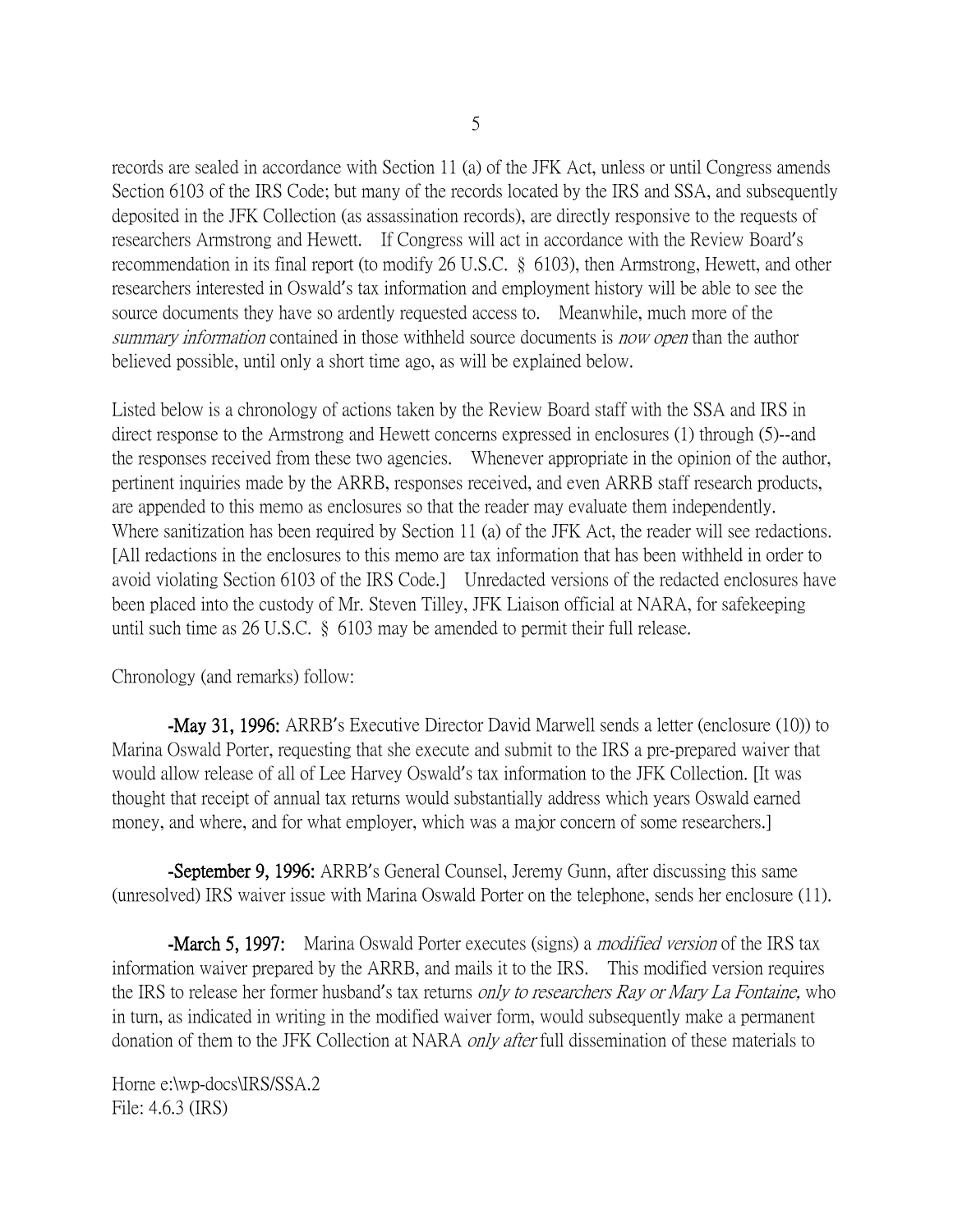records are sealed in accordance with Section 11 (a) of the JFK Act, unless or until Congress amends Section 6103 of the IRS Code; but many of the records located by the IRS and SSA, and subsequently deposited in the JFK Collection (as assassination records), are directly responsive to the requests of researchers Armstrong and Hewett. If Congress will act in accordance with the Review Board's recommendation in its final report (to modify 26 U.S.C. § 6103), then Armstrong, Hewett, and other researchers interested in Oswald's tax information and employment history will be able to see the source documents they have so ardently requested access to. Meanwhile, much more of the summary information contained in those withheld source documents is now open than the author believed possible, until only a short time ago, as will be explained below.

Listed below is a chronology of actions taken by the Review Board staff with the SSA and IRS in direct response to the Armstrong and Hewett concerns expressed in enclosures (1) through (5)--and the responses received from these two agencies. Whenever appropriate in the opinion of the author, pertinent inquiries made by the ARRB, responses received, and even ARRB staff research products, are appended to this memo as enclosures so that the reader may evaluate them independently. Where sanitization has been required by Section 11 (a) of the JFK Act, the reader will see redactions. [All redactions in the enclosures to this memo are tax information that has been withheld in order to avoid violating Section 6103 of the IRS Code.] Unredacted versions of the redacted enclosures have been placed into the custody of Mr. Steven Tilley, JFK Liaison official at NARA, for safekeeping until such time as 26 U.S.C. § 6103 may be amended to permit their full release.

Chronology (and remarks) follow:

-May 31, 1996: ARRB's Executive Director David Marwell sends a letter (enclosure (10)) to Marina Oswald Porter, requesting that she execute and submit to the IRS a pre-prepared waiver that would allow release of all of Lee Harvey Oswald's tax information to the JFK Collection. [It was thought that receipt of annual tax returns would substantially address which years Oswald earned money, and where, and for what employer, which was a major concern of some researchers.

-September 9, 1996: ARRB's General Counsel, Jeremy Gunn, after discussing this same (unresolved) IRS waiver issue with Marina Oswald Porter on the telephone, sends her enclosure (11).

**-March 5, 1997:** Marina Oswald Porter executes (signs) a *modified version* of the IRS tax information waiver prepared by the ARRB, and mails it to the IRS. This modified version requires the IRS to release her former husband's tax returns only to researchers Ray or Mary La Fontaine, who in turn, as indicated in writing in the modified waiver form, would subsequently make a permanent donation of them to the JFK Collection at NARA *only after* full dissemination of these materials to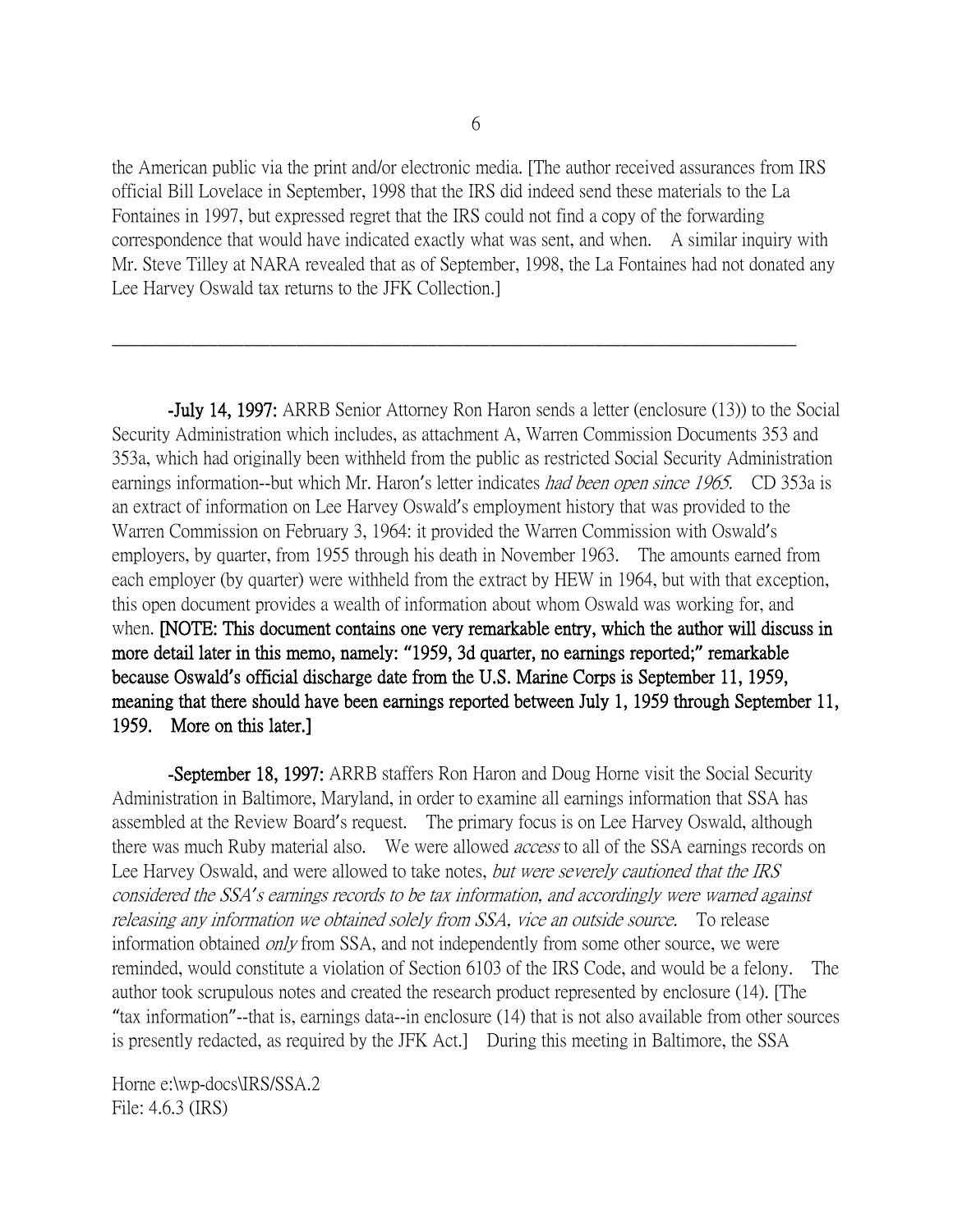the American public via the print and/or electronic media. [The author received assurances from IRS official Bill Lovelace in September, 1998 that the IRS did indeed send these materials to the La Fontaines in 1997, but expressed regret that the IRS could not find a copy of the forwarding correspondence that would have indicated exactly what was sent, and when. A similar inquiry with Mr. Steve Tilley at NARA revealed that as of September, 1998, the La Fontaines had not donated any Lee Harvey Oswald tax returns to the JFK Collection.]

\_\_\_\_\_\_\_\_\_\_\_\_\_\_\_\_\_\_\_\_\_\_\_\_\_\_\_\_\_\_\_\_\_\_\_\_\_\_\_\_\_\_\_\_\_\_\_\_\_\_\_\_\_\_\_\_\_\_\_\_\_\_\_\_\_\_\_\_\_\_\_\_\_\_\_\_\_\_

-July 14, 1997: ARRB Senior Attorney Ron Haron sends a letter (enclosure (13)) to the Social Security Administration which includes, as attachment A, Warren Commission Documents 353 and 353a, which had originally been withheld from the public as restricted Social Security Administration earnings information--but which Mr. Haron's letter indicates *had been open since 1965*. CD 353a is an extract of information on Lee Harvey Oswald's employment history that was provided to the Warren Commission on February 3, 1964: it provided the Warren Commission with Oswald's employers, by quarter, from 1955 through his death in November 1963. The amounts earned from each employer (by quarter) were withheld from the extract by HEW in 1964, but with that exception, this open document provides a wealth of information about whom Oswald was working for, and when. [NOTE: This document contains one very remarkable entry, which the author will discuss in more detail later in this memo, namely: **"**1959, 3d quarter, no earnings reported;**"** remarkable because Oswald**'**s official discharge date from the U.S. Marine Corps is September 11, 1959, meaning that there should have been earnings reported between July 1, 1959 through September 11, 1959. More on this later.]

-September 18, 1997: ARRB staffers Ron Haron and Doug Horne visit the Social Security Administration in Baltimore, Maryland, in order to examine all earnings information that SSA has assembled at the Review Board's request. The primary focus is on Lee Harvey Oswald, although there was much Ruby material also. We were allowed *access* to all of the SSA earnings records on Lee Harvey Oswald, and were allowed to take notes, but were severely cautioned that the IRS considered the SSA*'*s earnings records to be tax information, and accordingly were warned against releasing any information we obtained solely from SSA, vice an outside source. To release information obtained *only* from SSA, and not independently from some other source, we were reminded, would constitute a violation of Section 6103 of the IRS Code, and would be a felony. The author took scrupulous notes and created the research product represented by enclosure (14). [The "tax information"--that is, earnings data--in enclosure (14) that is not also available from other sources is presently redacted, as required by the JFK Act.] During this meeting in Baltimore, the SSA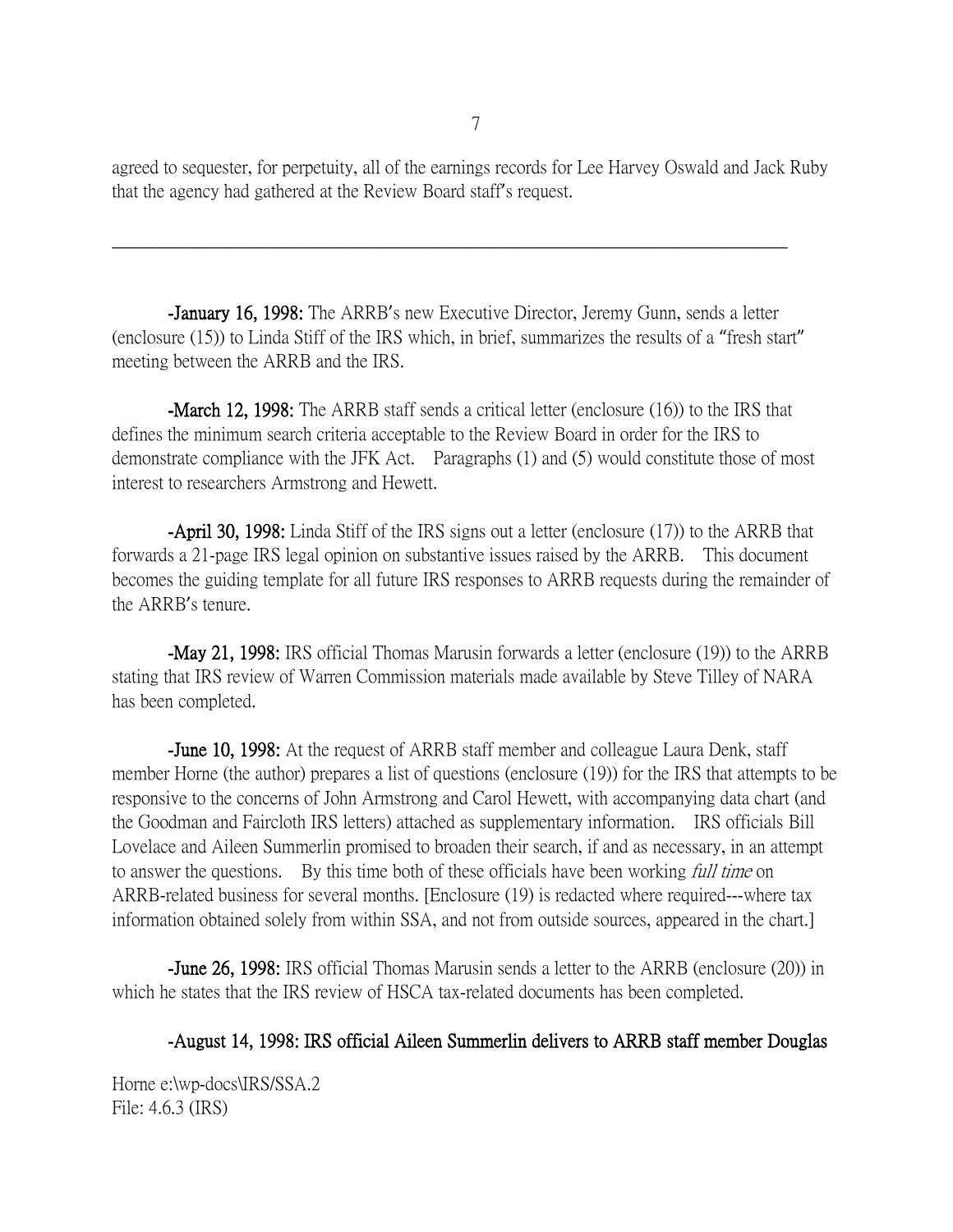agreed to sequester, for perpetuity, all of the earnings records for Lee Harvey Oswald and Jack Ruby that the agency had gathered at the Review Board staff's request.

-January 16, 1998: The ARRB's new Executive Director, Jeremy Gunn, sends a letter (enclosure (15)) to Linda Stiff of the IRS which, in brief, summarizes the results of a "fresh start" meeting between the ARRB and the IRS.

\_\_\_\_\_\_\_\_\_\_\_\_\_\_\_\_\_\_\_\_\_\_\_\_\_\_\_\_\_\_\_\_\_\_\_\_\_\_\_\_\_\_\_\_\_\_\_\_\_\_\_\_\_\_\_\_\_\_\_\_\_\_\_\_\_\_\_\_\_\_\_\_\_\_\_\_\_

-March 12, 1998: The ARRB staff sends a critical letter (enclosure (16)) to the IRS that defines the minimum search criteria acceptable to the Review Board in order for the IRS to demonstrate compliance with the JFK Act. Paragraphs (1) and (5) would constitute those of most interest to researchers Armstrong and Hewett.

-April 30, 1998: Linda Stiff of the IRS signs out a letter (enclosure (17)) to the ARRB that forwards a 21-page IRS legal opinion on substantive issues raised by the ARRB. This document becomes the guiding template for all future IRS responses to ARRB requests during the remainder of the ARRB's tenure.

-May 21, 1998: IRS official Thomas Marusin forwards a letter (enclosure (19)) to the ARRB stating that IRS review of Warren Commission materials made available by Steve Tilley of NARA has been completed.

-June 10, 1998: At the request of ARRB staff member and colleague Laura Denk, staff member Horne (the author) prepares a list of questions (enclosure (19)) for the IRS that attempts to be responsive to the concerns of John Armstrong and Carol Hewett, with accompanying data chart (and the Goodman and Faircloth IRS letters) attached as supplementary information. IRS officials Bill Lovelace and Aileen Summerlin promised to broaden their search, if and as necessary, in an attempt to answer the questions. By this time both of these officials have been working *full time* on ARRB-related business for several months. [Enclosure (19) is redacted where required---where tax information obtained solely from within SSA, and not from outside sources, appeared in the chart.]

-June 26, 1998: IRS official Thomas Marusin sends a letter to the ARRB (enclosure (20)) in which he states that the IRS review of HSCA tax-related documents has been completed.

### -August 14, 1998: IRS official Aileen Summerlin delivers to ARRB staff member Douglas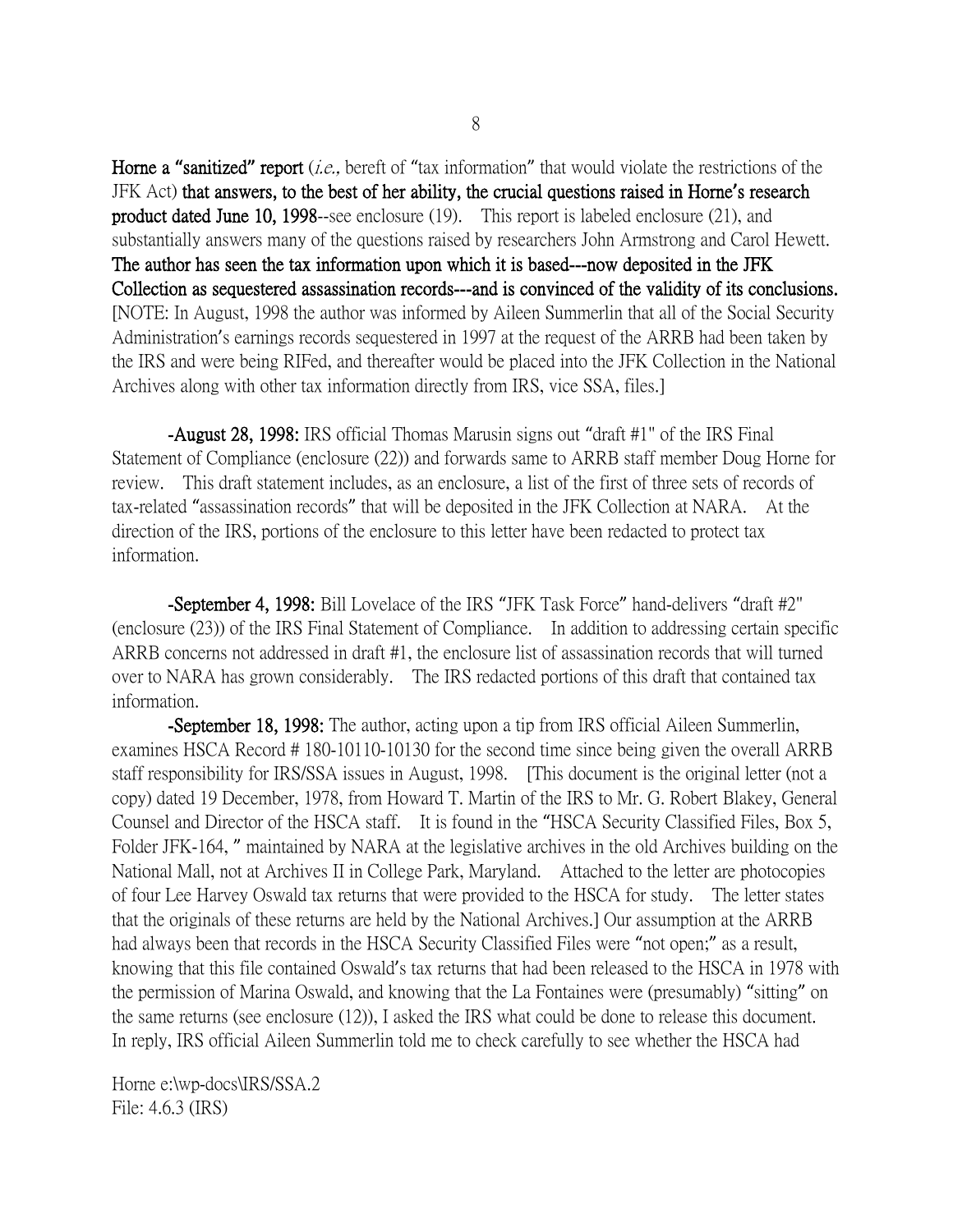Horne a "sanitized" report *(i.e.*, bereft of "tax information" that would violate the restrictions of the JFK Act) that answers, to the best of her ability, the crucial questions raised in Horne**'**s research product dated June 10, 1998--see enclosure (19). This report is labeled enclosure (21), and substantially answers many of the questions raised by researchers John Armstrong and Carol Hewett. The author has seen the tax information upon which it is based---now deposited in the JFK Collection as sequestered assassination records---and is convinced of the validity of its conclusions. [NOTE: In August, 1998 the author was informed by Aileen Summerlin that all of the Social Security Administration's earnings records sequestered in 1997 at the request of the ARRB had been taken by the IRS and were being RIFed, and thereafter would be placed into the JFK Collection in the National Archives along with other tax information directly from IRS, vice SSA, files.]

-August 28, 1998: IRS official Thomas Marusin signs out "draft #1" of the IRS Final Statement of Compliance (enclosure (22)) and forwards same to ARRB staff member Doug Horne for review. This draft statement includes, as an enclosure, a list of the first of three sets of records of tax-related "assassination records" that will be deposited in the JFK Collection at NARA. At the direction of the IRS, portions of the enclosure to this letter have been redacted to protect tax information.

-September 4, 1998: Bill Lovelace of the IRS "JFK Task Force" hand-delivers "draft #2" (enclosure (23)) of the IRS Final Statement of Compliance. In addition to addressing certain specific ARRB concerns not addressed in draft #1, the enclosure list of assassination records that will turned over to NARA has grown considerably. The IRS redacted portions of this draft that contained tax information.

**-September 18, 1998:** The author, acting upon a tip from IRS official Aileen Summerlin, examines HSCA Record # 180-10110-10130 for the second time since being given the overall ARRB staff responsibility for IRS/SSA issues in August, 1998. [This document is the original letter (not a copy) dated 19 December, 1978, from Howard T. Martin of the IRS to Mr. G. Robert Blakey, General Counsel and Director of the HSCA staff. It is found in the "HSCA Security Classified Files, Box 5, Folder JFK-164, " maintained by NARA at the legislative archives in the old Archives building on the National Mall, not at Archives II in College Park, Maryland. Attached to the letter are photocopies of four Lee Harvey Oswald tax returns that were provided to the HSCA for study. The letter states that the originals of these returns are held by the National Archives.] Our assumption at the ARRB had always been that records in the HSCA Security Classified Files were "not open;" as a result, knowing that this file contained Oswald's tax returns that had been released to the HSCA in 1978 with the permission of Marina Oswald, and knowing that the La Fontaines were (presumably) "sitting" on the same returns (see enclosure (12)), I asked the IRS what could be done to release this document. In reply, IRS official Aileen Summerlin told me to check carefully to see whether the HSCA had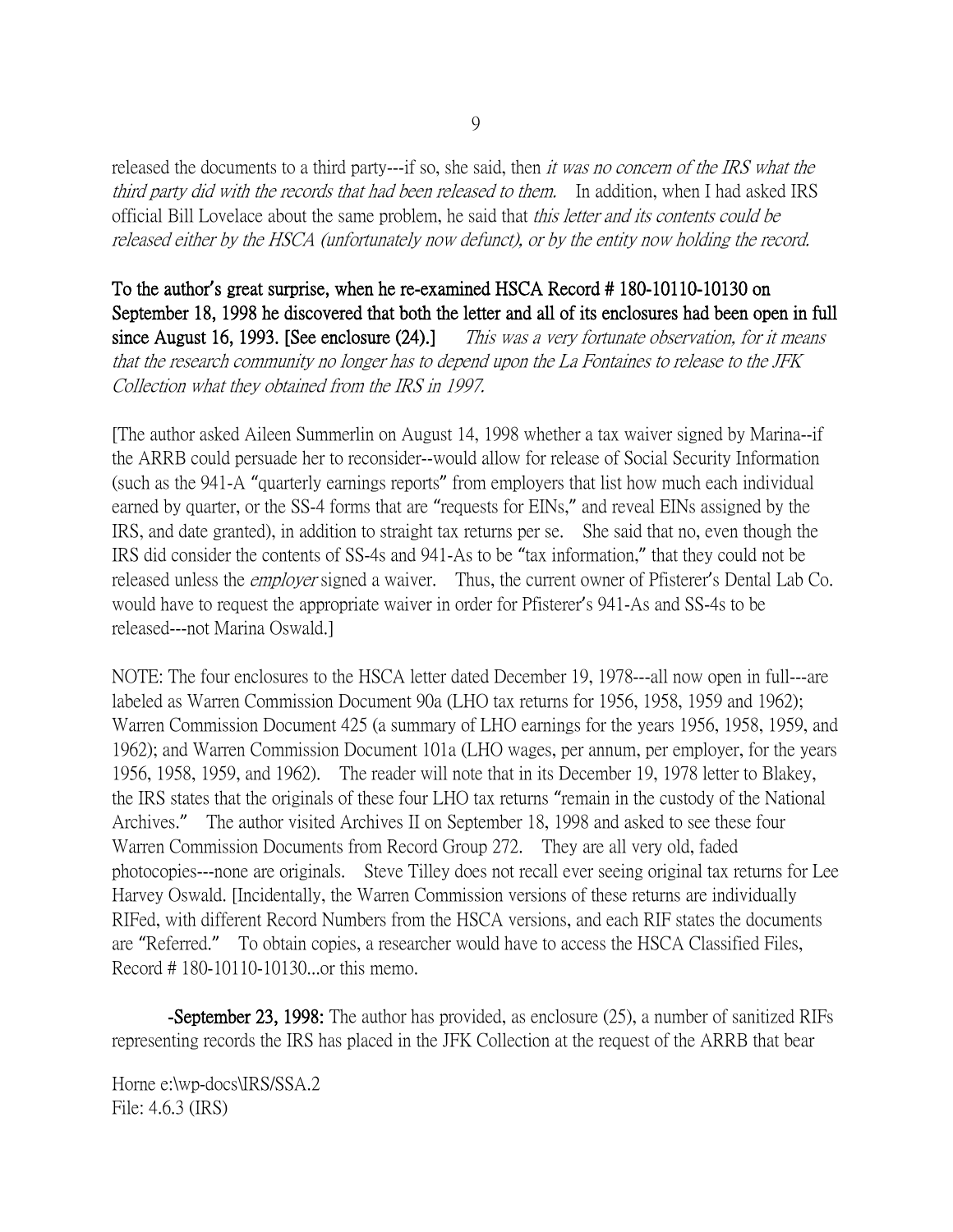released the documents to a third party---if so, she said, then *it was no concern of the IRS what the* third party did with the records that had been released to them. In addition, when I had asked IRS official Bill Lovelace about the same problem, he said that this letter and its contents could be released either by the HSCA (unfortunately now defunct), or by the entity now holding the record.

To the author**'**s great surprise, when he re-examined HSCA Record # 180-10110-10130 on September 18, 1998 he discovered that both the letter and all of its enclosures had been open in full since August 16, 1993. [See enclosure (24).] This was a very fortunate observation, for it means that the research community no longer has to depend upon the La Fontaines to release to the JFK Collection what they obtained from the IRS in 1997.

[The author asked Aileen Summerlin on August 14, 1998 whether a tax waiver signed by Marina--if the ARRB could persuade her to reconsider--would allow for release of Social Security Information (such as the 941-A "quarterly earnings reports" from employers that list how much each individual earned by quarter, or the SS-4 forms that are "requests for EINs," and reveal EINs assigned by the IRS, and date granted), in addition to straight tax returns per se. She said that no, even though the IRS did consider the contents of SS-4s and 941-As to be "tax information," that they could not be released unless the *employer* signed a waiver. Thus, the current owner of Pfisterer's Dental Lab Co. would have to request the appropriate waiver in order for Pfisterer's 941-As and SS-4s to be released---not Marina Oswald.]

NOTE: The four enclosures to the HSCA letter dated December 19, 1978---all now open in full---are labeled as Warren Commission Document 90a (LHO tax returns for 1956, 1958, 1959 and 1962); Warren Commission Document 425 (a summary of LHO earnings for the years 1956, 1958, 1959, and 1962); and Warren Commission Document 101a (LHO wages, per annum, per employer, for the years 1956, 1958, 1959, and 1962). The reader will note that in its December 19, 1978 letter to Blakey, the IRS states that the originals of these four LHO tax returns "remain in the custody of the National Archives." The author visited Archives II on September 18, 1998 and asked to see these four Warren Commission Documents from Record Group 272. They are all very old, faded photocopies---none are originals. Steve Tilley does not recall ever seeing original tax returns for Lee Harvey Oswald. [Incidentally, the Warren Commission versions of these returns are individually RIFed, with different Record Numbers from the HSCA versions, and each RIF states the documents are "Referred." To obtain copies, a researcher would have to access the HSCA Classified Files, Record # 180-10110-10130...or this memo.

**-September 23, 1998:** The author has provided, as enclosure (25), a number of sanitized RIFs representing records the IRS has placed in the JFK Collection at the request of the ARRB that bear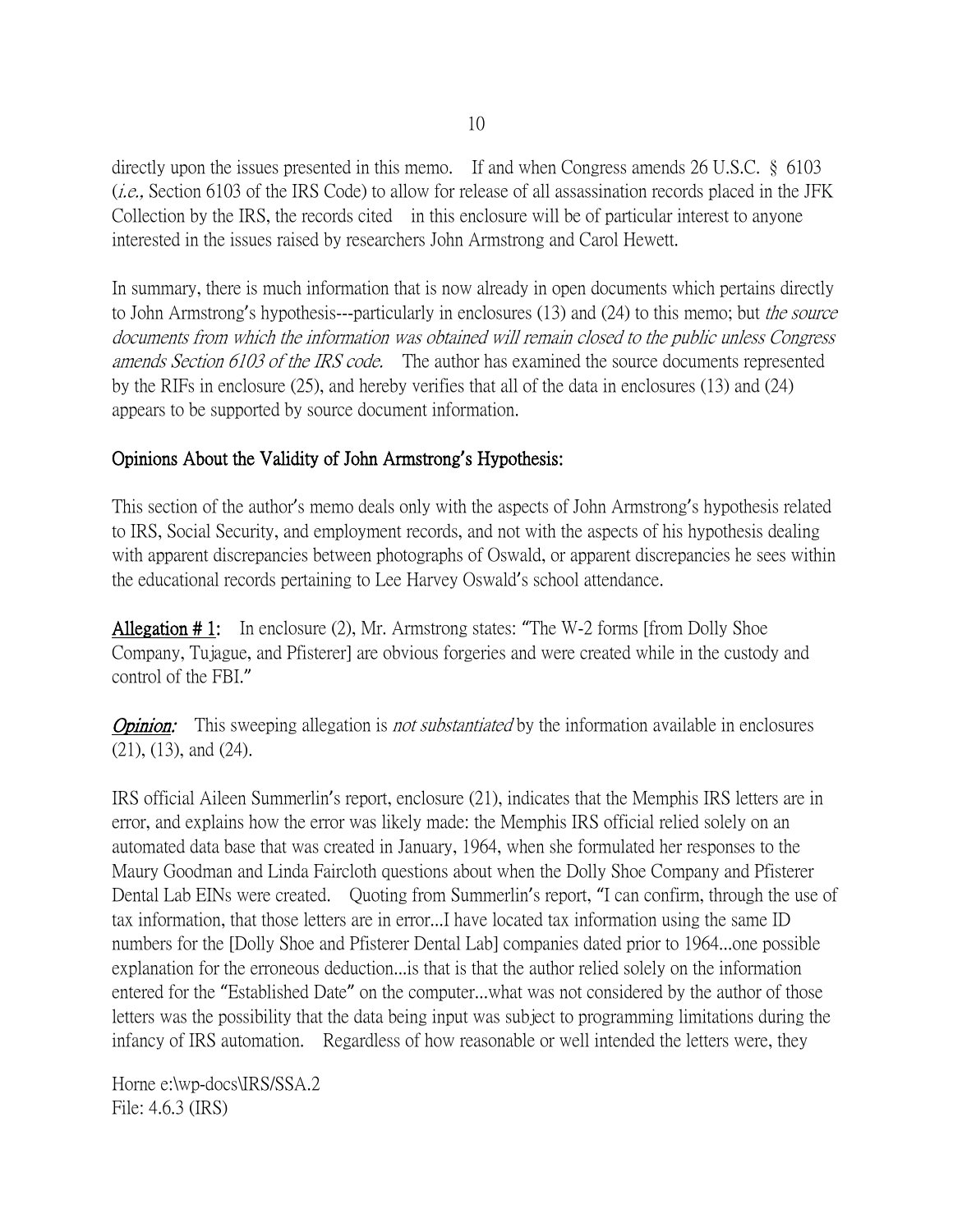directly upon the issues presented in this memo. If and when Congress amends 26 U.S.C. § 6103 (*i.e.*, Section 6103 of the IRS Code) to allow for release of all assassination records placed in the JFK Collection by the IRS, the records cited in this enclosure will be of particular interest to anyone interested in the issues raised by researchers John Armstrong and Carol Hewett.

In summary, there is much information that is now already in open documents which pertains directly to John Armstrong's hypothesis---particularly in enclosures (13) and (24) to this memo; but the source documents from which the information was obtained will remain closed to the public unless Congress amends Section 6103 of the IRS code. The author has examined the source documents represented by the RIFs in enclosure (25), and hereby verifies that all of the data in enclosures (13) and (24) appears to be supported by source document information.

## Opinions About the Validity of John Armstrong**'**s Hypothesis:

This section of the author's memo deals only with the aspects of John Armstrong's hypothesis related to IRS, Social Security, and employment records, and not with the aspects of his hypothesis dealing with apparent discrepancies between photographs of Oswald, or apparent discrepancies he sees within the educational records pertaining to Lee Harvey Oswald's school attendance.

Allegation # 1: In enclosure (2), Mr. Armstrong states: "The W-2 forms [from Dolly Shoe Company, Tujague, and Pfisterer] are obvious forgeries and were created while in the custody and control of the FBI."

**Opinion:** This sweeping allegation is *not substantiated* by the information available in enclosures (21), (13), and (24).

IRS official Aileen Summerlin's report, enclosure (21), indicates that the Memphis IRS letters are in error, and explains how the error was likely made: the Memphis IRS official relied solely on an automated data base that was created in January, 1964, when she formulated her responses to the Maury Goodman and Linda Faircloth questions about when the Dolly Shoe Company and Pfisterer Dental Lab EINs were created. Quoting from Summerlin's report, "I can confirm, through the use of tax information, that those letters are in error...I have located tax information using the same ID numbers for the [Dolly Shoe and Pfisterer Dental Lab] companies dated prior to 1964...one possible explanation for the erroneous deduction...is that is that the author relied solely on the information entered for the "Established Date" on the computer...what was not considered by the author of those letters was the possibility that the data being input was subject to programming limitations during the infancy of IRS automation. Regardless of how reasonable or well intended the letters were, they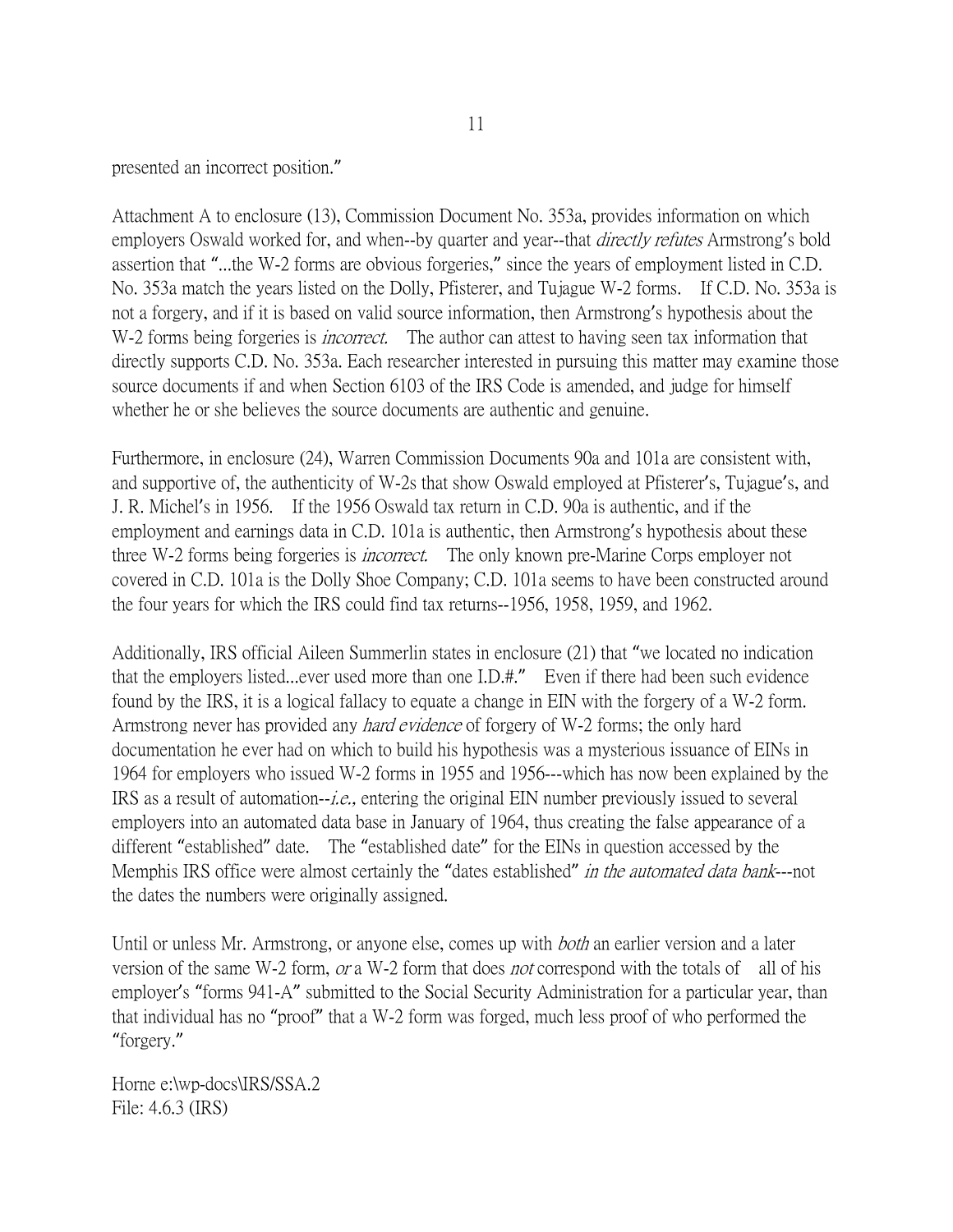presented an incorrect position."

Attachment A to enclosure (13), Commission Document No. 353a, provides information on which employers Oswald worked for, and when--by quarter and year--that *directly refutes* Armstrong's bold assertion that "...the W-2 forms are obvious forgeries," since the years of employment listed in C.D. No. 353a match the years listed on the Dolly, Pfisterer, and Tujague W-2 forms. If C.D. No. 353a is not a forgery, and if it is based on valid source information, then Armstrong's hypothesis about the W-2 forms being forgeries is *incorrect*. The author can attest to having seen tax information that directly supports C.D. No. 353a. Each researcher interested in pursuing this matter may examine those source documents if and when Section 6103 of the IRS Code is amended, and judge for himself whether he or she believes the source documents are authentic and genuine.

Furthermore, in enclosure (24), Warren Commission Documents 90a and 101a are consistent with, and supportive of, the authenticity of W-2s that show Oswald employed at Pfisterer's, Tujague's, and J. R. Michel's in 1956. If the 1956 Oswald tax return in C.D. 90a is authentic, and if the employment and earnings data in C.D. 101a is authentic, then Armstrong's hypothesis about these three W-2 forms being forgeries is *incorrect*. The only known pre-Marine Corps employer not covered in C.D. 101a is the Dolly Shoe Company; C.D. 101a seems to have been constructed around the four years for which the IRS could find tax returns--1956, 1958, 1959, and 1962.

Additionally, IRS official Aileen Summerlin states in enclosure (21) that "we located no indication that the employers listed...ever used more than one I.D.#." Even if there had been such evidence found by the IRS, it is a logical fallacy to equate a change in EIN with the forgery of a W-2 form. Armstrong never has provided any *hard evidence* of forgery of W-2 forms; the only hard documentation he ever had on which to build his hypothesis was a mysterious issuance of EINs in 1964 for employers who issued W-2 forms in 1955 and 1956---which has now been explained by the IRS as a result of automation--i.e., entering the original EIN number previously issued to several employers into an automated data base in January of 1964, thus creating the false appearance of a different "established" date. The "established date" for the EINs in question accessed by the Memphis IRS office were almost certainly the "dates established" in the automated data bank---not the dates the numbers were originally assigned.

Until or unless Mr. Armstrong, or anyone else, comes up with *both* an earlier version and a later version of the same W-2 form, or a W-2 form that does not correspond with the totals of all of his employer's "forms 941-A" submitted to the Social Security Administration for a particular year, than that individual has no "proof" that a W-2 form was forged, much less proof of who performed the "forgery."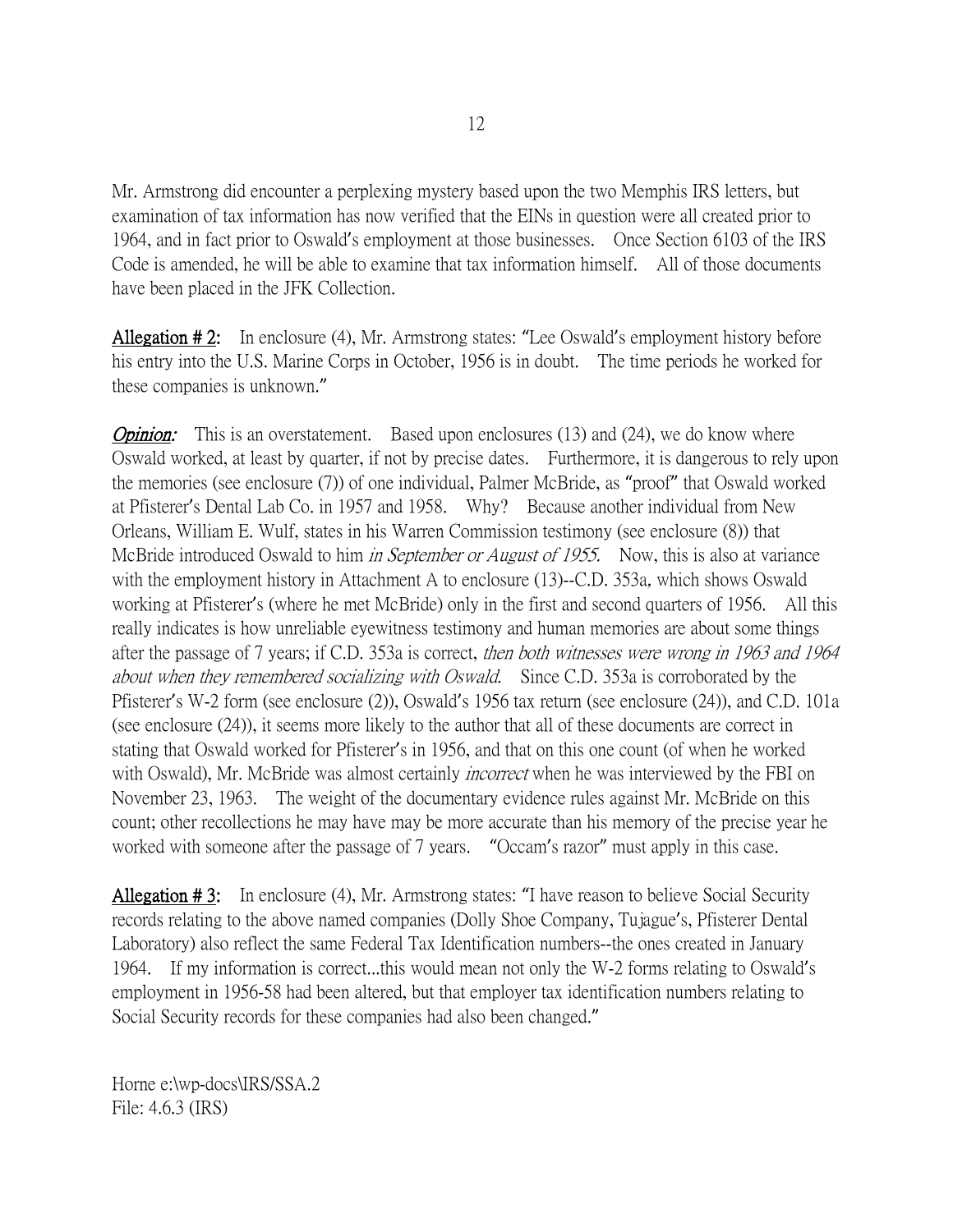Mr. Armstrong did encounter a perplexing mystery based upon the two Memphis IRS letters, but examination of tax information has now verified that the EINs in question were all created prior to 1964, and in fact prior to Oswald's employment at those businesses. Once Section 6103 of the IRS Code is amended, he will be able to examine that tax information himself. All of those documents have been placed in the JFK Collection.

Allegation # 2: In enclosure (4), Mr. Armstrong states: "Lee Oswald's employment history before his entry into the U.S. Marine Corps in October, 1956 is in doubt. The time periods he worked for these companies is unknown."

**Opinion:** This is an overstatement. Based upon enclosures  $(13)$  and  $(24)$ , we do know where Oswald worked, at least by quarter, if not by precise dates. Furthermore, it is dangerous to rely upon the memories (see enclosure (7)) of one individual, Palmer McBride, as "proof" that Oswald worked at Pfisterer's Dental Lab Co. in 1957 and 1958. Why? Because another individual from New Orleans, William E. Wulf, states in his Warren Commission testimony (see enclosure (8)) that McBride introduced Oswald to him *in September or August of 1955*. Now, this is also at variance with the employment history in Attachment A to enclosure (13)--C.D. 353a, which shows Oswald working at Pfisterer's (where he met McBride) only in the first and second quarters of 1956. All this really indicates is how unreliable eyewitness testimony and human memories are about some things after the passage of 7 years; if C.D. 353a is correct, then both witnesses were wrong in 1963 and 1964 about when they remembered socializing with Oswald. Since C.D. 353a is corroborated by the Pfisterer's W-2 form (see enclosure (2)), Oswald's 1956 tax return (see enclosure (24)), and C.D. 101a (see enclosure (24)), it seems more likely to the author that all of these documents are correct in stating that Oswald worked for Pfisterer's in 1956, and that on this one count (of when he worked with Oswald), Mr. McBride was almost certainly *incorrect* when he was interviewed by the FBI on November 23, 1963. The weight of the documentary evidence rules against Mr. McBride on this count; other recollections he may have may be more accurate than his memory of the precise year he worked with someone after the passage of 7 years. "Occam's razor" must apply in this case.

Allegation # 3: In enclosure (4), Mr. Armstrong states: "I have reason to believe Social Security records relating to the above named companies (Dolly Shoe Company, Tujague's, Pfisterer Dental Laboratory) also reflect the same Federal Tax Identification numbers--the ones created in January 1964. If my information is correct...this would mean not only the W-2 forms relating to Oswald's employment in 1956-58 had been altered, but that employer tax identification numbers relating to Social Security records for these companies had also been changed."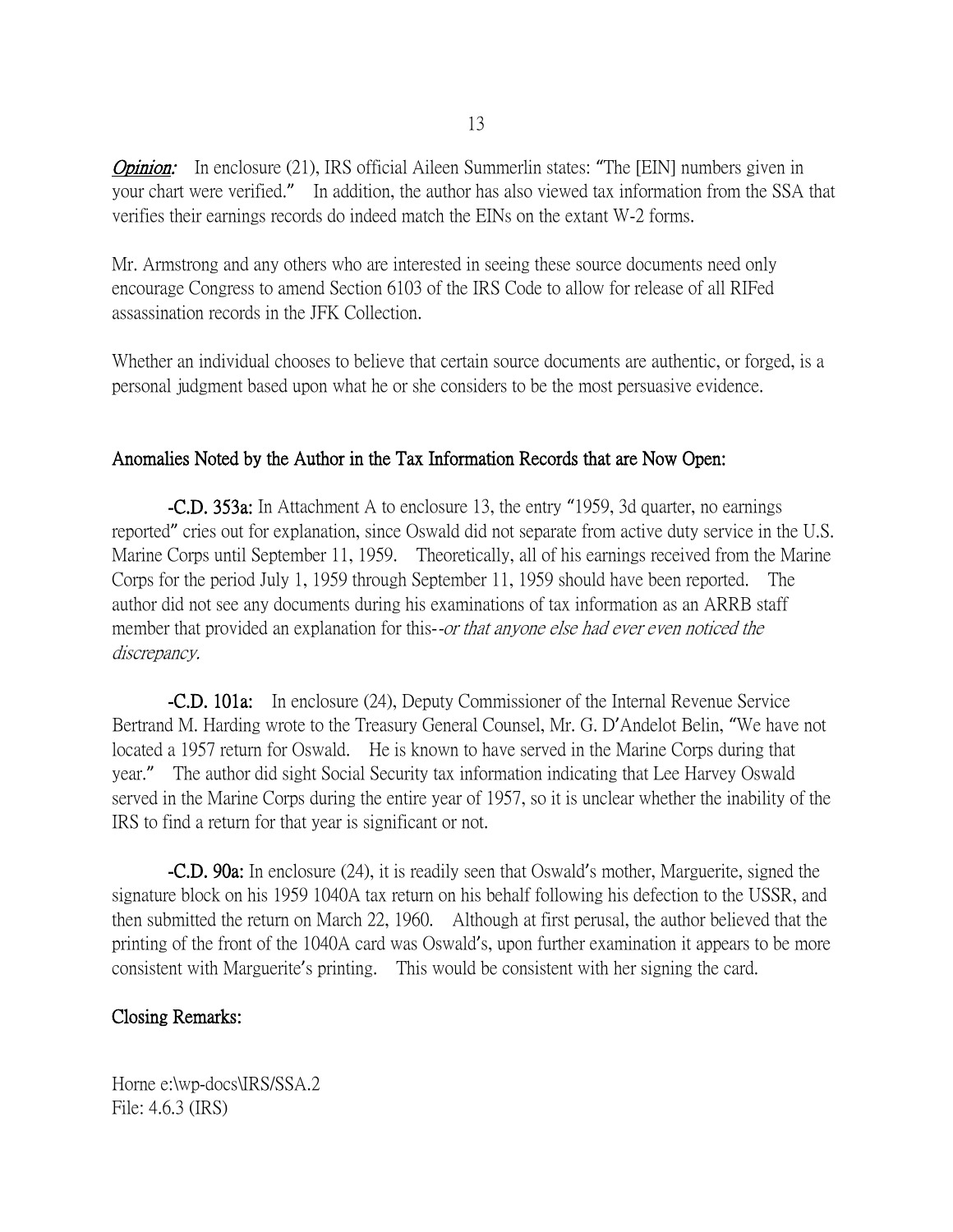**Opinion:** In enclosure (21), IRS official Aileen Summerlin states: "The [EIN] numbers given in your chart were verified." In addition, the author has also viewed tax information from the SSA that verifies their earnings records do indeed match the EINs on the extant W-2 forms.

Mr. Armstrong and any others who are interested in seeing these source documents need only encourage Congress to amend Section 6103 of the IRS Code to allow for release of all RIFed assassination records in the JFK Collection.

Whether an individual chooses to believe that certain source documents are authentic, or forged, is a personal judgment based upon what he or she considers to be the most persuasive evidence.

#### Anomalies Noted by the Author in the Tax Information Records that are Now Open:

-C.D. 353a: In Attachment A to enclosure 13, the entry "1959, 3d quarter, no earnings reported" cries out for explanation, since Oswald did not separate from active duty service in the U.S. Marine Corps until September 11, 1959. Theoretically, all of his earnings received from the Marine Corps for the period July 1, 1959 through September 11, 1959 should have been reported. The author did not see any documents during his examinations of tax information as an ARRB staff member that provided an explanation for this--or that anyone else had ever even noticed the discrepancy.

-C.D. 101a: In enclosure (24), Deputy Commissioner of the Internal Revenue Service Bertrand M. Harding wrote to the Treasury General Counsel, Mr. G. D'Andelot Belin, "We have not located a 1957 return for Oswald. He is known to have served in the Marine Corps during that year." The author did sight Social Security tax information indicating that Lee Harvey Oswald served in the Marine Corps during the entire year of 1957, so it is unclear whether the inability of the IRS to find a return for that year is significant or not.

-C.D. 90a: In enclosure (24), it is readily seen that Oswald's mother, Marguerite, signed the signature block on his 1959 1040A tax return on his behalf following his defection to the USSR, and then submitted the return on March 22, 1960. Although at first perusal, the author believed that the printing of the front of the 1040A card was Oswald's, upon further examination it appears to be more consistent with Marguerite's printing. This would be consistent with her signing the card.

#### Closing Remarks: